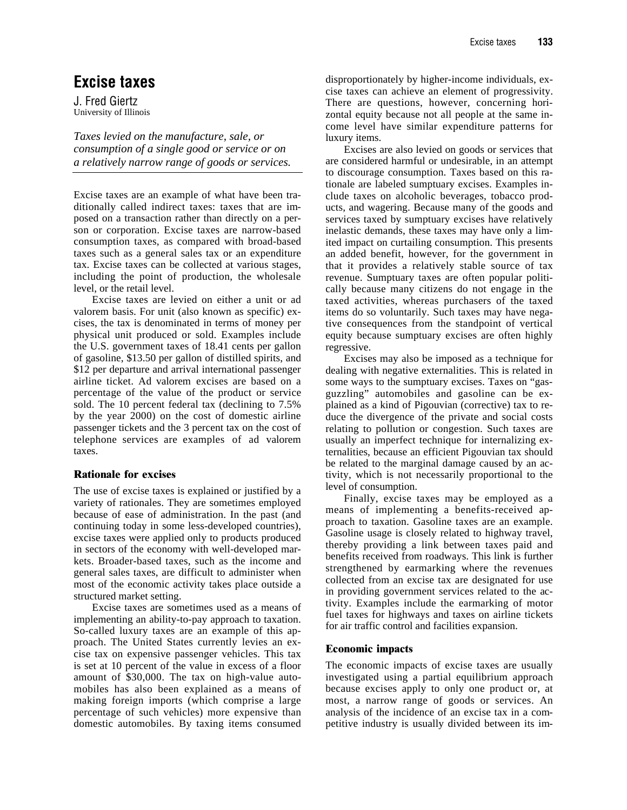## **Excise taxes**

J. Fred Giertz University of Illinois

*Taxes levied on the manufacture, sale, or consumption of a single good or service or on a relatively narrow range of goods or services.*

Excise taxes are an example of what have been traditionally called indirect taxes: taxes that are imposed on a transaction rather than directly on a person or corporation. Excise taxes are narrow-based consumption taxes, as compared with broad-based taxes such as a general sales tax or an expenditure tax. Excise taxes can be collected at various stages, including the point of production, the wholesale level, or the retail level.

Excise taxes are levied on either a unit or ad valorem basis. For unit (also known as specific) excises, the tax is denominated in terms of money per physical unit produced or sold. Examples include the U.S. government taxes of 18.41 cents per gallon of gasoline, \$13.50 per gallon of distilled spirits, and \$12 per departure and arrival international passenger airline ticket. Ad valorem excises are based on a percentage of the value of the product or service sold. The 10 percent federal tax (declining to 7.5% by the year 2000) on the cost of domestic airline passenger tickets and the 3 percent tax on the cost of telephone services are examples of ad valorem taxes.

## **Rationale for excises**

The use of excise taxes is explained or justified by a variety of rationales. They are sometimes employed because of ease of administration. In the past (and continuing today in some less-developed countries), excise taxes were applied only to products produced in sectors of the economy with well-developed markets. Broader-based taxes, such as the income and general sales taxes, are difficult to administer when most of the economic activity takes place outside a structured market setting.

Excise taxes are sometimes used as a means of implementing an ability-to-pay approach to taxation. So-called luxury taxes are an example of this approach. The United States currently levies an excise tax on expensive passenger vehicles. This tax is set at 10 percent of the value in excess of a floor amount of \$30,000. The tax on high-value automobiles has also been explained as a means of making foreign imports (which comprise a large percentage of such vehicles) more expensive than domestic automobiles. By taxing items consumed

disproportionately by higher-income individuals, excise taxes can achieve an element of progressivity. There are questions, however, concerning horizontal equity because not all people at the same income level have similar expenditure patterns for luxury items.

Excises are also levied on goods or services that are considered harmful or undesirable, in an attempt to discourage consumption. Taxes based on this rationale are labeled sumptuary excises. Examples include taxes on alcoholic beverages, tobacco products, and wagering. Because many of the goods and services taxed by sumptuary excises have relatively inelastic demands, these taxes may have only a limited impact on curtailing consumption. This presents an added benefit, however, for the government in that it provides a relatively stable source of tax revenue. Sumptuary taxes are often popular politically because many citizens do not engage in the taxed activities, whereas purchasers of the taxed items do so voluntarily. Such taxes may have negative consequences from the standpoint of vertical equity because sumptuary excises are often highly regressive.

Excises may also be imposed as a technique for dealing with negative externalities. This is related in some ways to the sumptuary excises. Taxes on "gasguzzling" automobiles and gasoline can be explained as a kind of Pigouvian (corrective) tax to reduce the divergence of the private and social costs relating to pollution or congestion. Such taxes are usually an imperfect technique for internalizing externalities, because an efficient Pigouvian tax should be related to the marginal damage caused by an activity, which is not necessarily proportional to the level of consumption.

Finally, excise taxes may be employed as a means of implementing a benefits-received approach to taxation. Gasoline taxes are an example. Gasoline usage is closely related to highway travel, thereby providing a link between taxes paid and benefits received from roadways. This link is further strengthened by earmarking where the revenues collected from an excise tax are designated for use in providing government services related to the activity. Examples include the earmarking of motor fuel taxes for highways and taxes on airline tickets for air traffic control and facilities expansion.

## **Economic impacts**

The economic impacts of excise taxes are usually investigated using a partial equilibrium approach because excises apply to only one product or, at most, a narrow range of goods or services. An analysis of the incidence of an excise tax in a competitive industry is usually divided between its im